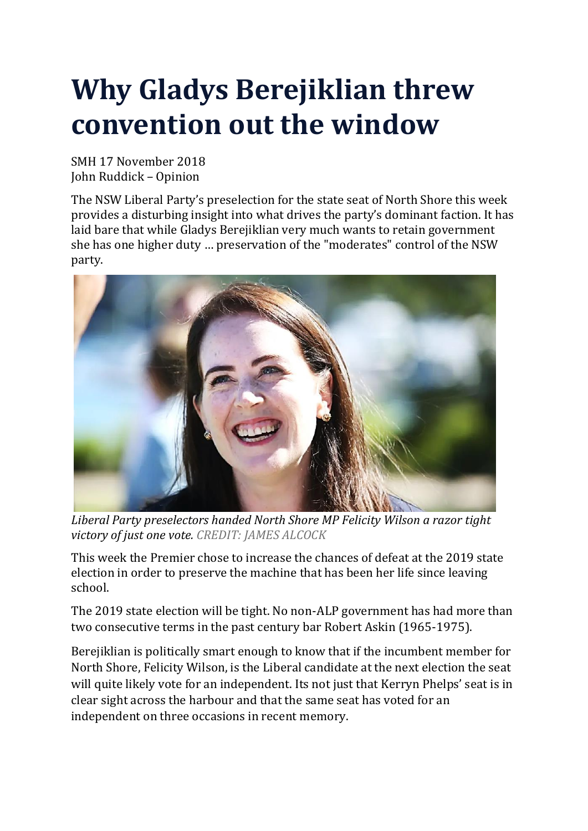## **Why Gladys Berejiklian threw convention out the window**

SMH 17 November 2018 John Ruddick – Opinion

The NSW Liberal Party's preselection for the state seat of North Shore this week provides a disturbing insight into what drives the party's dominant faction. It has laid bare that while Gladys Berejiklian very much wants to retain government she has one higher duty … preservation of the "moderates" control of the NSW party.



*Liberal Party preselectors handed North Shore MP Felicity Wilson a razor tight victory of just one vote. CREDIT: JAMES ALCOCK*

This week the Premier chose to increase the chances of defeat at the 2019 state election in order to preserve the machine that has been her life since leaving school.

The 2019 state election will be tight. No non-ALP government has had more than two consecutive terms in the past century bar Robert Askin (1965-1975).

Berejiklian is politically smart enough to know that if the incumbent member for North Shore, Felicity Wilson, is the Liberal candidate at the next election the seat will quite likely vote for an independent. Its not just that Kerryn Phelps' seat is in clear sight across the harbour and that the same seat has voted for an independent on three occasions in recent memory.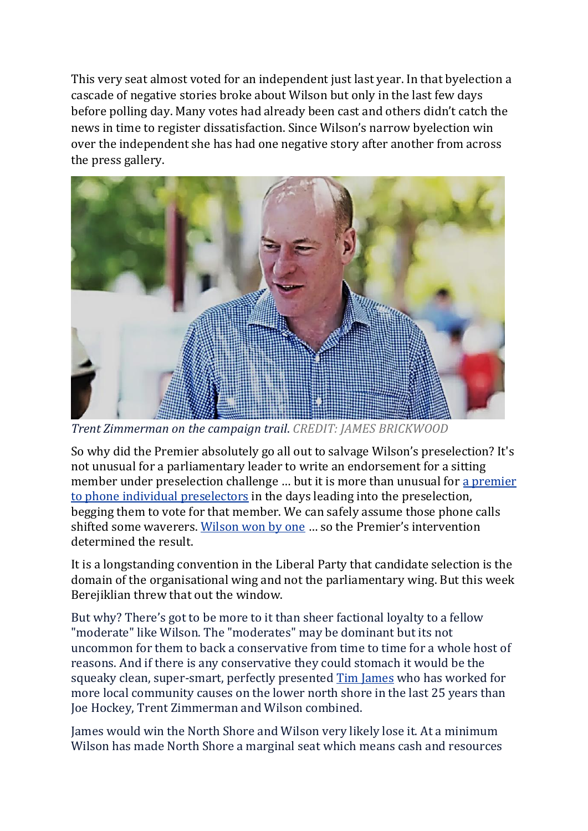This very seat almost voted for an independent just last year. In that byelection a cascade of negative stories broke about Wilson but only in the last few days before polling day. Many votes had already been cast and others didn't catch the news in time to register dissatisfaction. Since Wilson's narrow byelection win over the independent she has had one negative story after another from across the press gallery.



*Trent Zimmerman on the campaign trail*. *CREDIT: JAMES BRICKWOOD*

So why did the Premier absolutely go all out to salvage Wilson's preselection? It's not unusual for a parliamentary leader to write an endorsement for a sitting member under preselection challenge … but it is more than unusual for a [premier](https://www.smh.com.au/link/follow-20170101-p50ehc) to phone individual [preselectors](https://www.smh.com.au/link/follow-20170101-p50ehc) in the days leading into the preselection, begging them to vote for that member. We can safely assume those phone calls shifted some waverers. [Wilson](https://www.smh.com.au/link/follow-20170101-p50flw) won by one … so the Premier's intervention determined the result.

It is a longstanding convention in the Liberal Party that candidate selection is the domain of the organisational wing and not the parliamentary wing. But this week Berejiklian threw that out the window.

But why? There's got to be more to it than sheer factional loyalty to a fellow "moderate" like Wilson. The "moderates" may be dominant but its not uncommon for them to back a conservative from time to time for a whole host of reasons. And if there is any conservative they could stomach it would be the squeaky clean, super-smart, perfectly presented Tim [James](https://www.smh.com.au/link/follow-20170101-p50frs) who has worked for more local community causes on the lower north shore in the last 25 years than Joe Hockey, Trent Zimmerman and Wilson combined.

James would win the North Shore and Wilson very likely lose it. At a minimum Wilson has made North Shore a marginal seat which means cash and resources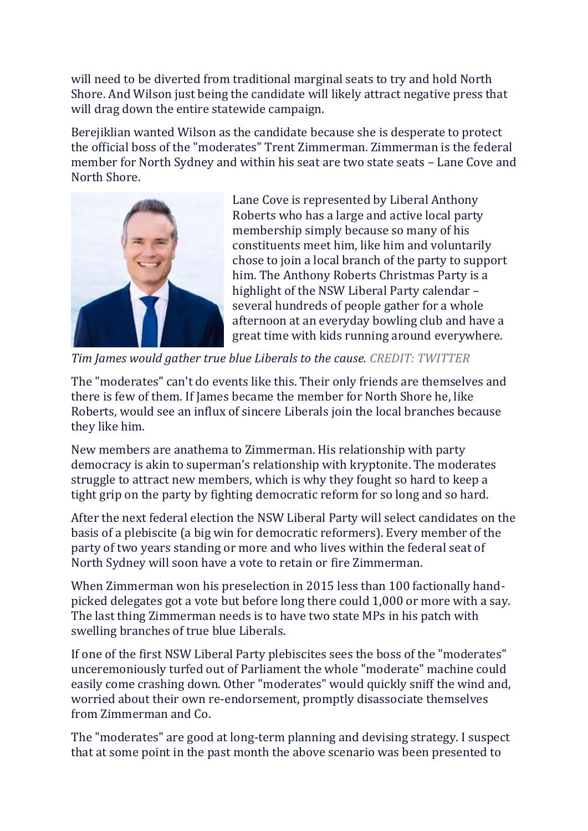will need to be diverted from traditional marginal seats to try and hold North Shore. And Wilson just being the candidate will likely attract negative press that will drag down the entire statewide campaign.

Berejiklian wanted Wilson as the candidate because she is desperate to protect the official boss of the "moderates" Trent Zimmerman. Zimmerman is the federal member for North Sydney and within his seat are two state seats – Lane Cove and North Shore.



Lane Cove is represented by Liberal Anthony Roberts who has a large and active local party membership simply because so many of his constituents meet him, like him and voluntarily chose to join a local branch of the party to support him. The Anthony Roberts Christmas Party is a highlight of the NSW Liberal Party calendar – several hundreds of people gather for a whole afternoon at an everyday bowling club and have a great time with kids running around everywhere.

*Tim James would gather true blue Liberals to the cause. CREDIT: TWITTER*

The "moderates" can't do events like this. Their only friends are themselves and there is few of them. If James became the member for North Shore he, like Roberts, would see an influx of sincere Liberals join the local branches because they like him.

New members are anathema to Zimmerman. His relationship with party democracy is akin to superman's relationship with kryptonite. The moderates struggle to attract new members, which is why they fought so hard to keep a tight grip on the party by fighting democratic reform for so long and so hard.

After the next federal election the NSW Liberal Party will select candidates on the basis of a plebiscite (a big win for democratic reformers). Every member of the party of two years standing or more and who lives within the federal seat of North Sydney will soon have a vote to retain or fire Zimmerman.

When Zimmerman won his preselection in 2015 less than 100 factionally handpicked delegates got a vote but before long there could 1,000 or more with a say. The last thing Zimmerman needs is to have two state MPs in his patch with swelling branches of true blue Liberals.

If one of the first NSW Liberal Party plebiscites sees the boss of the "moderates" unceremoniously turfed out of Parliament the whole "moderate" machine could easily come crashing down. Other "moderates" would quickly sniff the wind and, worried about their own re-endorsement, promptly disassociate themselves from Zimmerman and Co.

The "moderates" are good at long-term planning and devising strategy. I suspect that at some point in the past month the above scenario was been presented to